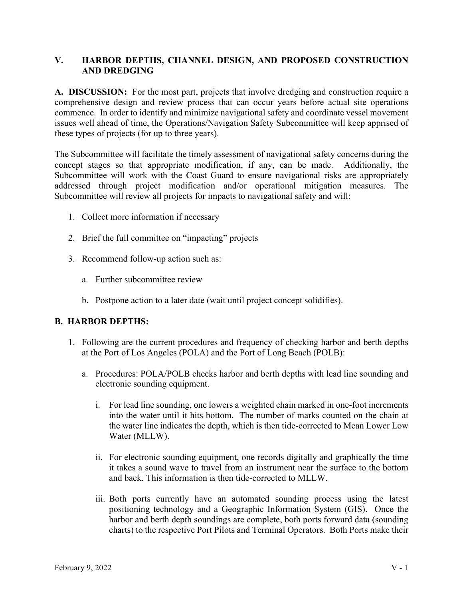# **V. HARBOR DEPTHS, CHANNEL DESIGN, AND PROPOSED CONSTRUCTION AND DREDGING**

**A. DISCUSSION:** For the most part, projects that involve dredging and construction require a comprehensive design and review process that can occur years before actual site operations commence. In order to identify and minimize navigational safety and coordinate vessel movement issues well ahead of time, the Operations/Navigation Safety Subcommittee will keep apprised of these types of projects (for up to three years).

The Subcommittee will facilitate the timely assessment of navigational safety concerns during the concept stages so that appropriate modification, if any, can be made. Additionally, the Subcommittee will work with the Coast Guard to ensure navigational risks are appropriately addressed through project modification and/or operational mitigation measures. The Subcommittee will review all projects for impacts to navigational safety and will:

- 1. Collect more information if necessary
- 2. Brief the full committee on "impacting" projects
- 3. Recommend follow-up action such as:
	- a. Further subcommittee review
	- b. Postpone action to a later date (wait until project concept solidifies).

#### **B. HARBOR DEPTHS:**

- 1. Following are the current procedures and frequency of checking harbor and berth depths at the Port of Los Angeles (POLA) and the Port of Long Beach (POLB):
	- a. Procedures: POLA/POLB checks harbor and berth depths with lead line sounding and electronic sounding equipment.
		- i. For lead line sounding, one lowers a weighted chain marked in one-foot increments into the water until it hits bottom. The number of marks counted on the chain at the water line indicates the depth, which is then tide-corrected to Mean Lower Low Water (MLLW).
		- ii. For electronic sounding equipment, one records digitally and graphically the time it takes a sound wave to travel from an instrument near the surface to the bottom and back. This information is then tide-corrected to MLLW.
		- iii. Both ports currently have an automated sounding process using the latest positioning technology and a Geographic Information System (GIS). Once the harbor and berth depth soundings are complete, both ports forward data (sounding charts) to the respective Port Pilots and Terminal Operators. Both Ports make their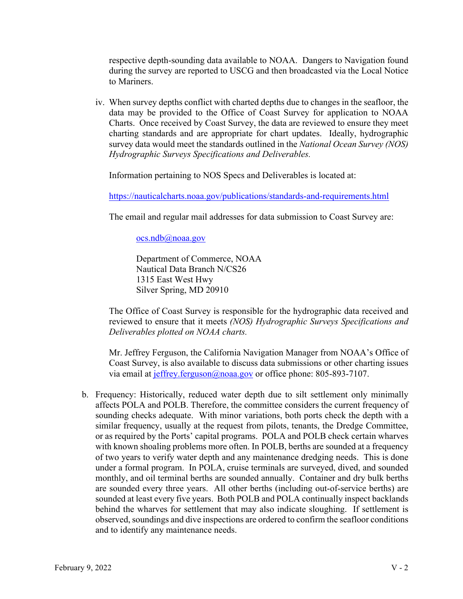respective depth-sounding data available to NOAA. Dangers to Navigation found during the survey are reported to USCG and then broadcasted via the Local Notice to Mariners.

iv. When survey depths conflict with charted depths due to changes in the seafloor, the data may be provided to the Office of Coast Survey for application to NOAA Charts. Once received by Coast Survey, the data are reviewed to ensure they meet charting standards and are appropriate for chart updates. Ideally, hydrographic survey data would meet the standards outlined in the *National Ocean Survey (NOS) Hydrographic Surveys Specifications and Deliverables.*

Information pertaining to NOS Specs and Deliverables is located at:

https://nauticalcharts.noaa.gov/publications/standards-and-requirements.html

The email and regular mail addresses for data submission to Coast Survey are:

 $ocs.ndb@noaa.gov$ 

Department of Commerce, NOAA Nautical Data Branch N/CS26 1315 East West Hwy Silver Spring, MD 20910

The Office of Coast Survey is responsible for the hydrographic data received and reviewed to ensure that it meets *(NOS) Hydrographic Surveys Specifications and Deliverables plotted on NOAA charts.*

Mr. Jeffrey Ferguson, the California Navigation Manager from NOAA's Office of Coast Survey, is also available to discuss data submissions or other charting issues via email at jeffrey.ferguson@noaa.gov or office phone: 805-893-7107.

b. Frequency: Historically, reduced water depth due to silt settlement only minimally affects POLA and POLB. Therefore, the committee considers the current frequency of sounding checks adequate. With minor variations, both ports check the depth with a similar frequency, usually at the request from pilots, tenants, the Dredge Committee, or as required by the Ports' capital programs. POLA and POLB check certain wharves with known shoaling problems more often. In POLB, berths are sounded at a frequency of two years to verify water depth and any maintenance dredging needs. This is done under a formal program. In POLA, cruise terminals are surveyed, dived, and sounded monthly, and oil terminal berths are sounded annually. Container and dry bulk berths are sounded every three years. All other berths (including out-of-service berths) are sounded at least every five years. Both POLB and POLA continually inspect backlands behind the wharves for settlement that may also indicate sloughing. If settlement is observed, soundings and dive inspections are ordered to confirm the seafloor conditions and to identify any maintenance needs.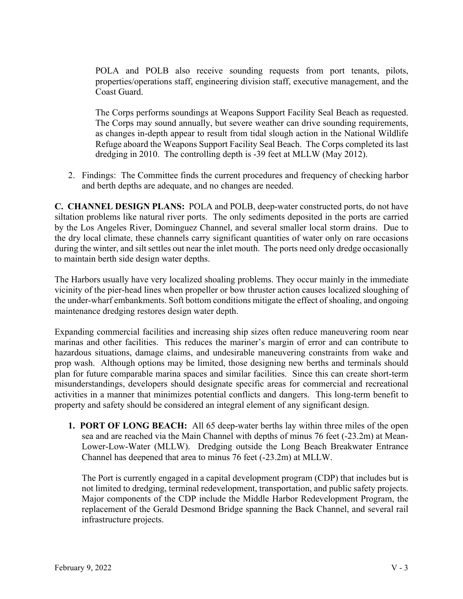POLA and POLB also receive sounding requests from port tenants, pilots, properties/operations staff, engineering division staff, executive management, and the Coast Guard.

The Corps performs soundings at Weapons Support Facility Seal Beach as requested. The Corps may sound annually, but severe weather can drive sounding requirements, as changes in-depth appear to result from tidal slough action in the National Wildlife Refuge aboard the Weapons Support Facility Seal Beach. The Corps completed its last dredging in 2010. The controlling depth is -39 feet at MLLW (May 2012).

2. Findings: The Committee finds the current procedures and frequency of checking harbor and berth depths are adequate, and no changes are needed.

**C. CHANNEL DESIGN PLANS:** POLA and POLB, deep-water constructed ports, do not have siltation problems like natural river ports. The only sediments deposited in the ports are carried by the Los Angeles River, Dominguez Channel, and several smaller local storm drains. Due to the dry local climate, these channels carry significant quantities of water only on rare occasions during the winter, and silt settles out near the inlet mouth. The ports need only dredge occasionally to maintain berth side design water depths.

The Harbors usually have very localized shoaling problems. They occur mainly in the immediate vicinity of the pier-head lines when propeller or bow thruster action causes localized sloughing of the under-wharf embankments. Soft bottom conditions mitigate the effect of shoaling, and ongoing maintenance dredging restores design water depth.

Expanding commercial facilities and increasing ship sizes often reduce maneuvering room near marinas and other facilities. This reduces the mariner's margin of error and can contribute to hazardous situations, damage claims, and undesirable maneuvering constraints from wake and prop wash. Although options may be limited, those designing new berths and terminals should plan for future comparable marina spaces and similar facilities. Since this can create short-term misunderstandings, developers should designate specific areas for commercial and recreational activities in a manner that minimizes potential conflicts and dangers. This long-term benefit to property and safety should be considered an integral element of any significant design.

**1. PORT OF LONG BEACH:** All 65 deep-water berths lay within three miles of the open sea and are reached via the Main Channel with depths of minus 76 feet (-23.2m) at Mean-Lower-Low-Water (MLLW). Dredging outside the Long Beach Breakwater Entrance Channel has deepened that area to minus 76 feet (-23.2m) at MLLW.

The Port is currently engaged in a capital development program (CDP) that includes but is not limited to dredging, terminal redevelopment, transportation, and public safety projects. Major components of the CDP include the Middle Harbor Redevelopment Program, the replacement of the Gerald Desmond Bridge spanning the Back Channel, and several rail infrastructure projects.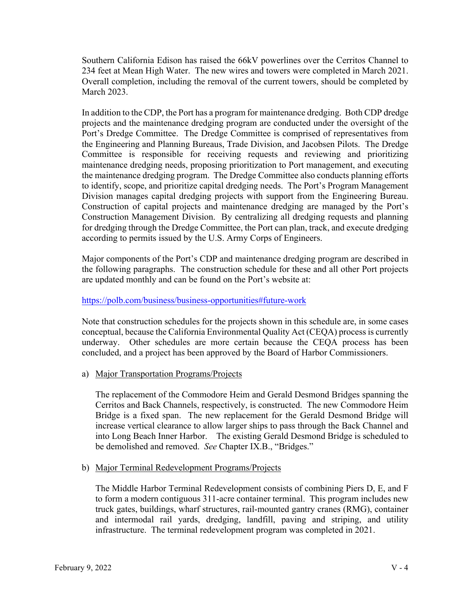Southern California Edison has raised the 66kV powerlines over the Cerritos Channel to 234 feet at Mean High Water. The new wires and towers were completed in March 2021. Overall completion, including the removal of the current towers, should be completed by March 2023.

In addition to the CDP, the Port has a program for maintenance dredging. Both CDP dredge projects and the maintenance dredging program are conducted under the oversight of the Port's Dredge Committee. The Dredge Committee is comprised of representatives from the Engineering and Planning Bureaus, Trade Division, and Jacobsen Pilots. The Dredge Committee is responsible for receiving requests and reviewing and prioritizing maintenance dredging needs, proposing prioritization to Port management, and executing the maintenance dredging program. The Dredge Committee also conducts planning efforts to identify, scope, and prioritize capital dredging needs. The Port's Program Management Division manages capital dredging projects with support from the Engineering Bureau. Construction of capital projects and maintenance dredging are managed by the Port's Construction Management Division. By centralizing all dredging requests and planning for dredging through the Dredge Committee, the Port can plan, track, and execute dredging according to permits issued by the U.S. Army Corps of Engineers.

Major components of the Port's CDP and maintenance dredging program are described in the following paragraphs. The construction schedule for these and all other Port projects are updated monthly and can be found on the Port's website at:

#### https://polb.com/business/business-opportunities#future-work

Note that construction schedules for the projects shown in this schedule are, in some cases conceptual, because the California Environmental Quality Act (CEQA) process is currently underway. Other schedules are more certain because the CEQA process has been concluded, and a project has been approved by the Board of Harbor Commissioners.

a) Major Transportation Programs/Projects

The replacement of the Commodore Heim and Gerald Desmond Bridges spanning the Cerritos and Back Channels, respectively, is constructed. The new Commodore Heim Bridge is a fixed span. The new replacement for the Gerald Desmond Bridge will increase vertical clearance to allow larger ships to pass through the Back Channel and into Long Beach Inner Harbor. The existing Gerald Desmond Bridge is scheduled to be demolished and removed. *See* Chapter IX.B., "Bridges."

#### b) Major Terminal Redevelopment Programs/Projects

The Middle Harbor Terminal Redevelopment consists of combining Piers D, E, and F to form a modern contiguous 311-acre container terminal. This program includes new truck gates, buildings, wharf structures, rail-mounted gantry cranes (RMG), container and intermodal rail yards, dredging, landfill, paving and striping, and utility infrastructure. The terminal redevelopment program was completed in 2021.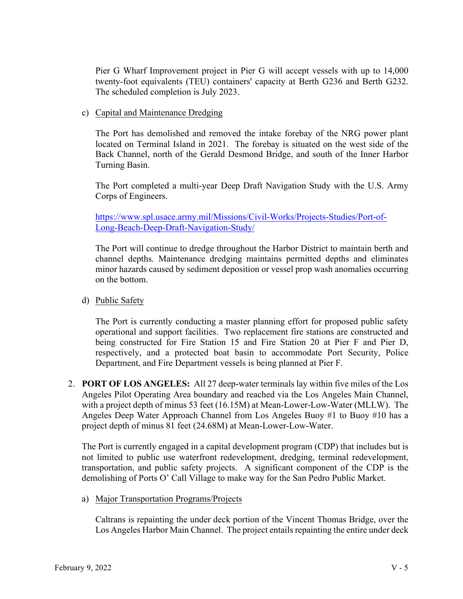Pier G Wharf Improvement project in Pier G will accept vessels with up to 14,000 twenty-foot equivalents (TEU) containers' capacity at Berth G236 and Berth G232. The scheduled completion is July 2023.

c) Capital and Maintenance Dredging

The Port has demolished and removed the intake forebay of the NRG power plant located on Terminal Island in 2021. The forebay is situated on the west side of the Back Channel, north of the Gerald Desmond Bridge, and south of the Inner Harbor Turning Basin.

The Port completed a multi-year Deep Draft Navigation Study with the U.S. Army Corps of Engineers.

https://www.spl.usace.army.mil/Missions/Civil-Works/Projects-Studies/Port-of-Long-Beach-Deep-Draft-Navigation-Study/

The Port will continue to dredge throughout the Harbor District to maintain berth and channel depths. Maintenance dredging maintains permitted depths and eliminates minor hazards caused by sediment deposition or vessel prop wash anomalies occurring on the bottom.

d) Public Safety

The Port is currently conducting a master planning effort for proposed public safety operational and support facilities. Two replacement fire stations are constructed and being constructed for Fire Station 15 and Fire Station 20 at Pier F and Pier D, respectively, and a protected boat basin to accommodate Port Security, Police Department, and Fire Department vessels is being planned at Pier F.

2. **PORT OF LOS ANGELES:** All 27 deep-water terminals lay within five miles of the Los Angeles Pilot Operating Area boundary and reached via the Los Angeles Main Channel, with a project depth of minus 53 feet (16.15M) at Mean-Lower-Low-Water (MLLW). The Angeles Deep Water Approach Channel from Los Angeles Buoy #1 to Buoy #10 has a project depth of minus 81 feet (24.68M) at Mean-Lower-Low-Water.

The Port is currently engaged in a capital development program (CDP) that includes but is not limited to public use waterfront redevelopment, dredging, terminal redevelopment, transportation, and public safety projects. A significant component of the CDP is the demolishing of Ports O' Call Village to make way for the San Pedro Public Market.

a) Major Transportation Programs/Projects

Caltrans is repainting the under deck portion of the Vincent Thomas Bridge, over the Los Angeles Harbor Main Channel. The project entails repainting the entire under deck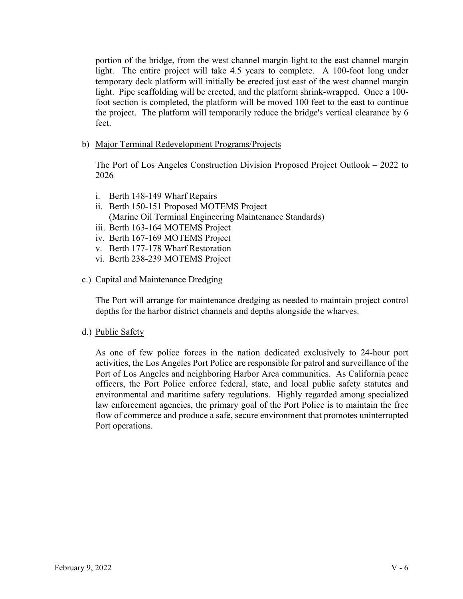portion of the bridge, from the west channel margin light to the east channel margin light. The entire project will take 4.5 years to complete. A 100-foot long under temporary deck platform will initially be erected just east of the west channel margin light. Pipe scaffolding will be erected, and the platform shrink-wrapped. Once a 100 foot section is completed, the platform will be moved 100 feet to the east to continue the project. The platform will temporarily reduce the bridge's vertical clearance by 6 feet.

b) Major Terminal Redevelopment Programs/Projects

The Port of Los Angeles Construction Division Proposed Project Outlook – 2022 to 2026

- i. Berth 148-149 Wharf Repairs
- ii. Berth 150-151 Proposed MOTEMS Project (Marine Oil Terminal Engineering Maintenance Standards)
- iii. Berth 163-164 MOTEMS Project
- iv. Berth 167-169 MOTEMS Project
- v. Berth 177-178 Wharf Restoration
- vi. Berth 238-239 MOTEMS Project

#### c.) Capital and Maintenance Dredging

The Port will arrange for maintenance dredging as needed to maintain project control depths for the harbor district channels and depths alongside the wharves.

d.) Public Safety

As one of few police forces in the nation dedicated exclusively to 24-hour port activities, the Los Angeles Port Police are responsible for patrol and surveillance of the Port of Los Angeles and neighboring Harbor Area communities. As California peace officers, the Port Police enforce federal, state, and local public safety statutes and environmental and maritime safety regulations. Highly regarded among specialized law enforcement agencies, the primary goal of the Port Police is to maintain the free flow of commerce and produce a safe, secure environment that promotes uninterrupted Port operations.